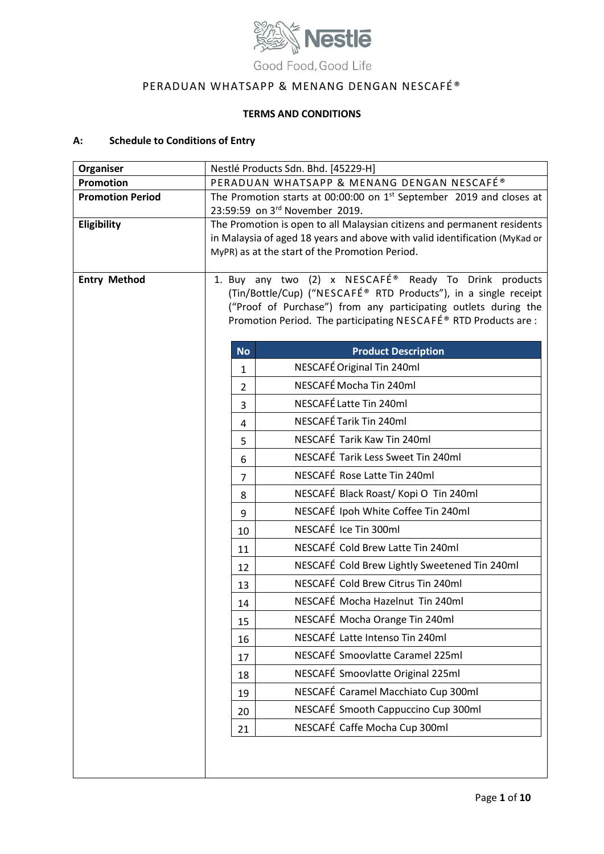

# PERADUAN WHATSAPP & MENANG DENGAN NESCAFÉ®

# **TERMS AND CONDITIONS**

# **A: Schedule to Conditions of Entry**

| Organiser               | Nestlé Products Sdn. Bhd. [45229-H]                                                                                                  |
|-------------------------|--------------------------------------------------------------------------------------------------------------------------------------|
| <b>Promotion</b>        | PERADUAN WHATSAPP & MENANG DENGAN NESCAFÉ®                                                                                           |
| <b>Promotion Period</b> | The Promotion starts at 00:00:00 on 1 <sup>st</sup> September 2019 and closes at                                                     |
| Eligibility             | 23:59:59 on 3rd November 2019.<br>The Promotion is open to all Malaysian citizens and permanent residents                            |
|                         | in Malaysia of aged 18 years and above with valid identification (MyKad or                                                           |
|                         | MyPR) as at the start of the Promotion Period.                                                                                       |
|                         |                                                                                                                                      |
| <b>Entry Method</b>     | 1. Buy any two (2) x NESCAFÉ <sup>®</sup> Ready To Drink products<br>(Tin/Bottle/Cup) ("NESCAFÉ® RTD Products"), in a single receipt |
|                         | ("Proof of Purchase") from any participating outlets during the                                                                      |
|                         | Promotion Period. The participating NESCAFÉ® RTD Products are :                                                                      |
|                         |                                                                                                                                      |
|                         | <b>Product Description</b><br><b>No</b>                                                                                              |
|                         | NESCAFÉ Original Tin 240ml<br>$\mathbf{1}$                                                                                           |
|                         | NESCAFÉ Mocha Tin 240ml<br>$\overline{2}$                                                                                            |
|                         | NESCAFÉ Latte Tin 240ml<br>3                                                                                                         |
|                         | NESCAFÉ Tarik Tin 240ml<br>4                                                                                                         |
|                         | NESCAFÉ Tarik Kaw Tin 240ml<br>5                                                                                                     |
|                         | NESCAFÉ Tarik Less Sweet Tin 240ml<br>6                                                                                              |
|                         | NESCAFÉ Rose Latte Tin 240ml<br>7                                                                                                    |
|                         | NESCAFÉ Black Roast/Kopi O Tin 240ml<br>8                                                                                            |
|                         | NESCAFÉ Ipoh White Coffee Tin 240ml<br>9                                                                                             |
|                         | NESCAFÉ Ice Tin 300ml<br>10                                                                                                          |
|                         | NESCAFÉ Cold Brew Latte Tin 240ml<br>11                                                                                              |
|                         | NESCAFÉ Cold Brew Lightly Sweetened Tin 240ml<br>12                                                                                  |
|                         | NESCAFÉ Cold Brew Citrus Tin 240ml<br>13                                                                                             |
|                         | NESCAFÉ Mocha Hazelnut Tin 240ml<br>14                                                                                               |
|                         | NESCAFÉ Mocha Orange Tin 240ml<br>15                                                                                                 |
|                         | NESCAFÉ Latte Intenso Tin 240ml<br>16                                                                                                |
|                         | NESCAFÉ Smoovlatte Caramel 225ml<br>17                                                                                               |
|                         | NESCAFÉ Smoovlatte Original 225ml<br>18                                                                                              |
|                         | NESCAFÉ Caramel Macchiato Cup 300ml<br>19                                                                                            |
|                         | NESCAFÉ Smooth Cappuccino Cup 300ml<br>20                                                                                            |
|                         | NESCAFÉ Caffe Mocha Cup 300ml<br>21                                                                                                  |
|                         |                                                                                                                                      |
|                         |                                                                                                                                      |
|                         |                                                                                                                                      |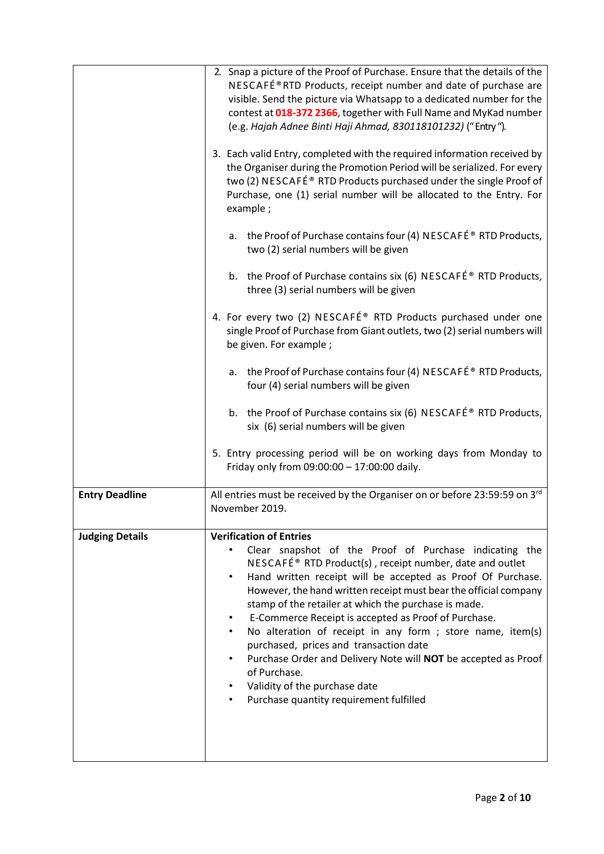|                        | 2. Snap a picture of the Proof of Purchase. Ensure that the details of the<br>NESCAFɮRTD Products, receipt number and date of purchase are<br>visible. Send the picture via Whatsapp to a dedicated number for the<br>contest at 018-372 2366, together with Full Name and MyKad number<br>(e.g. Hajah Adnee Binti Haji Ahmad, 830118101232) ("Entry").<br>3. Each valid Entry, completed with the required information received by<br>the Organiser during the Promotion Period will be serialized. For every<br>two (2) NESCAFÉ® RTD Products purchased under the single Proof of<br>Purchase, one (1) serial number will be allocated to the Entry. For<br>example;                                                           |
|------------------------|----------------------------------------------------------------------------------------------------------------------------------------------------------------------------------------------------------------------------------------------------------------------------------------------------------------------------------------------------------------------------------------------------------------------------------------------------------------------------------------------------------------------------------------------------------------------------------------------------------------------------------------------------------------------------------------------------------------------------------|
|                        | a. the Proof of Purchase contains four (4) NESCAFÉ® RTD Products,<br>two (2) serial numbers will be given                                                                                                                                                                                                                                                                                                                                                                                                                                                                                                                                                                                                                        |
|                        | b. the Proof of Purchase contains six (6) NESCAFÉ <sup>®</sup> RTD Products,<br>three (3) serial numbers will be given                                                                                                                                                                                                                                                                                                                                                                                                                                                                                                                                                                                                           |
|                        | 4. For every two (2) NESCAFÉ® RTD Products purchased under one<br>single Proof of Purchase from Giant outlets, two (2) serial numbers will<br>be given. For example ;                                                                                                                                                                                                                                                                                                                                                                                                                                                                                                                                                            |
|                        | a. the Proof of Purchase contains four (4) NESCAFÉ® RTD Products,<br>four (4) serial numbers will be given                                                                                                                                                                                                                                                                                                                                                                                                                                                                                                                                                                                                                       |
|                        | b. the Proof of Purchase contains six (6) NESCAFÉ <sup>®</sup> RTD Products,<br>six (6) serial numbers will be given                                                                                                                                                                                                                                                                                                                                                                                                                                                                                                                                                                                                             |
|                        | 5. Entry processing period will be on working days from Monday to<br>Friday only from 09:00:00 - 17:00:00 daily.                                                                                                                                                                                                                                                                                                                                                                                                                                                                                                                                                                                                                 |
| <b>Entry Deadline</b>  | All entries must be received by the Organiser on or before 23:59:59 on 3rd<br>November 2019.                                                                                                                                                                                                                                                                                                                                                                                                                                                                                                                                                                                                                                     |
| <b>Judging Details</b> | <b>Verification of Entries</b><br>Clear snapshot of the Proof of Purchase indicating the<br>NESCAFÉ <sup>®</sup> RTD Product(s), receipt number, date and outlet<br>Hand written receipt will be accepted as Proof Of Purchase.<br>$\bullet$<br>However, the hand written receipt must bear the official company<br>stamp of the retailer at which the purchase is made.<br>E-Commerce Receipt is accepted as Proof of Purchase.<br>No alteration of receipt in any form ; store name, item(s)<br>$\bullet$<br>purchased, prices and transaction date<br>Purchase Order and Delivery Note will NOT be accepted as Proof<br>of Purchase.<br>Validity of the purchase date<br>$\bullet$<br>Purchase quantity requirement fulfilled |
|                        |                                                                                                                                                                                                                                                                                                                                                                                                                                                                                                                                                                                                                                                                                                                                  |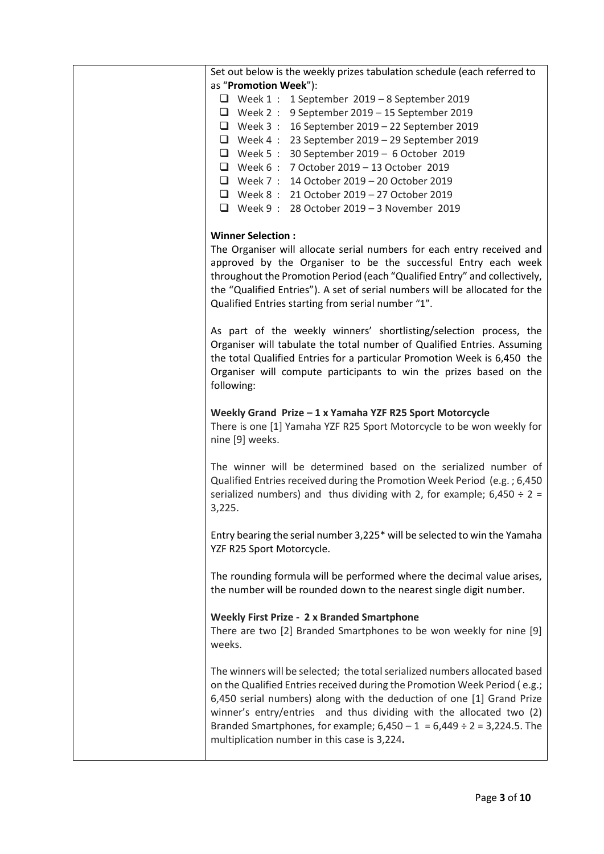| Set out below is the weekly prizes tabulation schedule (each referred to                                                                                                                                                                                                                                                                                                                                                                |
|-----------------------------------------------------------------------------------------------------------------------------------------------------------------------------------------------------------------------------------------------------------------------------------------------------------------------------------------------------------------------------------------------------------------------------------------|
| as "Promotion Week"):                                                                                                                                                                                                                                                                                                                                                                                                                   |
| $\Box$ Week 1: 1 September 2019 - 8 September 2019                                                                                                                                                                                                                                                                                                                                                                                      |
| $\Box$ Week 2: 9 September 2019 - 15 September 2019                                                                                                                                                                                                                                                                                                                                                                                     |
| $\Box$ Week 3: 16 September 2019 - 22 September 2019                                                                                                                                                                                                                                                                                                                                                                                    |
| $\Box$ Week 4: 23 September 2019 - 29 September 2019                                                                                                                                                                                                                                                                                                                                                                                    |
| $\Box$ Week 5: 30 September 2019 - 6 October 2019                                                                                                                                                                                                                                                                                                                                                                                       |
| □ Week 6 : 7 October 2019 - 13 October 2019                                                                                                                                                                                                                                                                                                                                                                                             |
| □ Week 7 : 14 October 2019 - 20 October 2019                                                                                                                                                                                                                                                                                                                                                                                            |
| □ Week 8 : 21 October 2019 - 27 October 2019                                                                                                                                                                                                                                                                                                                                                                                            |
| $\Box$ Week 9: 28 October 2019 - 3 November 2019                                                                                                                                                                                                                                                                                                                                                                                        |
|                                                                                                                                                                                                                                                                                                                                                                                                                                         |
| <b>Winner Selection:</b><br>The Organiser will allocate serial numbers for each entry received and<br>approved by the Organiser to be the successful Entry each week<br>throughout the Promotion Period (each "Qualified Entry" and collectively,<br>the "Qualified Entries"). A set of serial numbers will be allocated for the<br>Qualified Entries starting from serial number "1".                                                  |
| As part of the weekly winners' shortlisting/selection process, the<br>Organiser will tabulate the total number of Qualified Entries. Assuming<br>the total Qualified Entries for a particular Promotion Week is 6,450 the<br>Organiser will compute participants to win the prizes based on the<br>following:                                                                                                                           |
| Weekly Grand Prize - 1 x Yamaha YZF R25 Sport Motorcycle<br>There is one [1] Yamaha YZF R25 Sport Motorcycle to be won weekly for<br>nine [9] weeks.                                                                                                                                                                                                                                                                                    |
| The winner will be determined based on the serialized number of<br>Qualified Entries received during the Promotion Week Period (e.g.; 6,450<br>serialized numbers) and thus dividing with 2, for example; $6,450 \div 2 =$<br>3,225.                                                                                                                                                                                                    |
| Entry bearing the serial number 3,225* will be selected to win the Yamaha<br>YZF R25 Sport Motorcycle.                                                                                                                                                                                                                                                                                                                                  |
| The rounding formula will be performed where the decimal value arises,<br>the number will be rounded down to the nearest single digit number.                                                                                                                                                                                                                                                                                           |
| <b>Weekly First Prize - 2 x Branded Smartphone</b><br>There are two [2] Branded Smartphones to be won weekly for nine [9]<br>weeks.                                                                                                                                                                                                                                                                                                     |
| The winners will be selected; the total serialized numbers allocated based<br>on the Qualified Entries received during the Promotion Week Period (e.g.;<br>6,450 serial numbers) along with the deduction of one [1] Grand Prize<br>winner's entry/entries and thus dividing with the allocated two (2)<br>Branded Smartphones, for example; $6,450 - 1 = 6,449 \div 2 = 3,224.5$ . The<br>multiplication number in this case is 3,224. |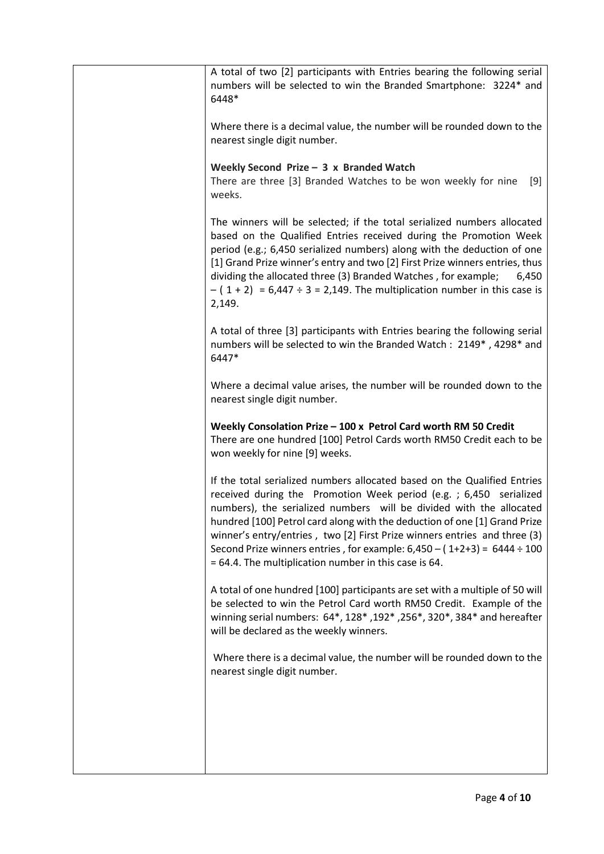| A total of two [2] participants with Entries bearing the following serial<br>numbers will be selected to win the Branded Smartphone: 3224* and<br>6448*                                                                                                                                                                                                                                                                                                                                                                     |
|-----------------------------------------------------------------------------------------------------------------------------------------------------------------------------------------------------------------------------------------------------------------------------------------------------------------------------------------------------------------------------------------------------------------------------------------------------------------------------------------------------------------------------|
| Where there is a decimal value, the number will be rounded down to the<br>nearest single digit number.                                                                                                                                                                                                                                                                                                                                                                                                                      |
| Weekly Second Prize $-$ 3 x Branded Watch<br>There are three [3] Branded Watches to be won weekly for nine<br>$[9]$<br>weeks.                                                                                                                                                                                                                                                                                                                                                                                               |
| The winners will be selected; if the total serialized numbers allocated<br>based on the Qualified Entries received during the Promotion Week<br>period (e.g.; 6,450 serialized numbers) along with the deduction of one<br>[1] Grand Prize winner's entry and two [2] First Prize winners entries, thus<br>dividing the allocated three (3) Branded Watches, for example;<br>6,450<br>$-$ (1+2) = 6,447 ÷ 3 = 2,149. The multiplication number in this case is<br>2,149.                                                    |
| A total of three [3] participants with Entries bearing the following serial<br>numbers will be selected to win the Branded Watch: 2149*, 4298* and<br>6447*                                                                                                                                                                                                                                                                                                                                                                 |
| Where a decimal value arises, the number will be rounded down to the<br>nearest single digit number.                                                                                                                                                                                                                                                                                                                                                                                                                        |
| Weekly Consolation Prize - 100 x Petrol Card worth RM 50 Credit<br>There are one hundred [100] Petrol Cards worth RM50 Credit each to be                                                                                                                                                                                                                                                                                                                                                                                    |
| won weekly for nine [9] weeks.                                                                                                                                                                                                                                                                                                                                                                                                                                                                                              |
| If the total serialized numbers allocated based on the Qualified Entries<br>received during the Promotion Week period (e.g. ; 6,450 serialized<br>numbers), the serialized numbers will be divided with the allocated<br>hundred [100] Petrol card along with the deduction of one [1] Grand Prize<br>winner's entry/entries, two [2] First Prize winners entries and three (3)<br>Second Prize winners entries, for example: $6,450 - (1+2+3) = 6444 \div 100$<br>$= 64.4$ . The multiplication number in this case is 64. |
| A total of one hundred [100] participants are set with a multiple of 50 will<br>be selected to win the Petrol Card worth RM50 Credit. Example of the<br>winning serial numbers: 64*, 128*, 192*, 256*, 320*, 384* and hereafter<br>will be declared as the weekly winners.                                                                                                                                                                                                                                                  |
| Where there is a decimal value, the number will be rounded down to the<br>nearest single digit number.                                                                                                                                                                                                                                                                                                                                                                                                                      |
|                                                                                                                                                                                                                                                                                                                                                                                                                                                                                                                             |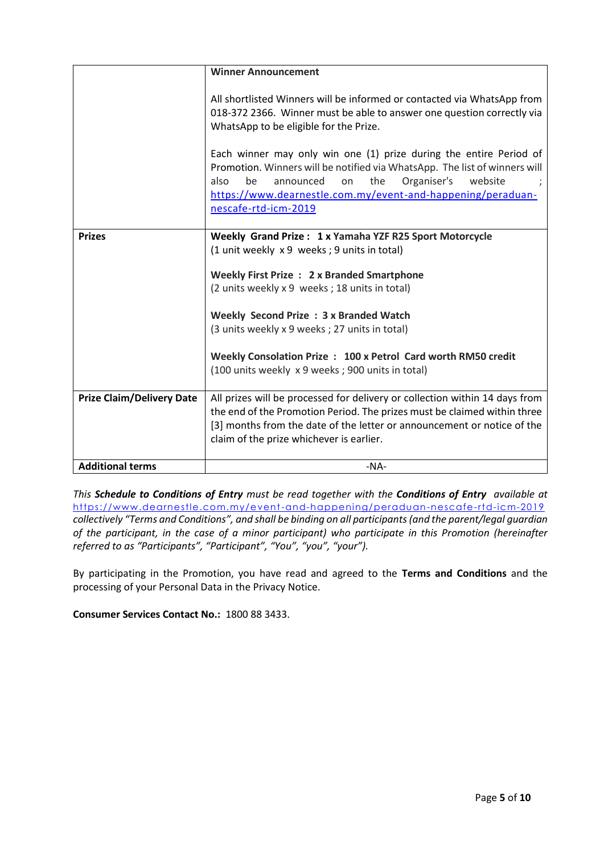|                                  | <b>Winner Announcement</b>                                                                                                                                                                                                                                                                                |
|----------------------------------|-----------------------------------------------------------------------------------------------------------------------------------------------------------------------------------------------------------------------------------------------------------------------------------------------------------|
|                                  | All shortlisted Winners will be informed or contacted via WhatsApp from<br>018-372 2366. Winner must be able to answer one question correctly via<br>WhatsApp to be eligible for the Prize.                                                                                                               |
|                                  | Each winner may only win one (1) prize during the entire Period of<br>Promotion. Winners will be notified via WhatsApp. The list of winners will<br>the<br>Organiser's<br>be<br>announced<br>on<br>website<br>also<br>https://www.dearnestle.com.my/event-and-happening/peraduan-<br>nescafe-rtd-icm-2019 |
| <b>Prizes</b>                    | Weekly Grand Prize: 1 x Yamaha YZF R25 Sport Motorcycle                                                                                                                                                                                                                                                   |
|                                  | (1 unit weekly x 9 weeks; 9 units in total)                                                                                                                                                                                                                                                               |
|                                  |                                                                                                                                                                                                                                                                                                           |
|                                  | Weekly First Prize: 2 x Branded Smartphone                                                                                                                                                                                                                                                                |
|                                  | (2 units weekly x 9 weeks; 18 units in total)                                                                                                                                                                                                                                                             |
|                                  | Weekly Second Prize: 3 x Branded Watch                                                                                                                                                                                                                                                                    |
|                                  | (3 units weekly x 9 weeks; 27 units in total)                                                                                                                                                                                                                                                             |
|                                  |                                                                                                                                                                                                                                                                                                           |
|                                  | Weekly Consolation Prize: 100 x Petrol Card worth RM50 credit                                                                                                                                                                                                                                             |
|                                  | (100 units weekly x 9 weeks; 900 units in total)                                                                                                                                                                                                                                                          |
| <b>Prize Claim/Delivery Date</b> | All prizes will be processed for delivery or collection within 14 days from                                                                                                                                                                                                                               |
|                                  | the end of the Promotion Period. The prizes must be claimed within three                                                                                                                                                                                                                                  |
|                                  | [3] months from the date of the letter or announcement or notice of the                                                                                                                                                                                                                                   |
|                                  | claim of the prize whichever is earlier.                                                                                                                                                                                                                                                                  |
|                                  |                                                                                                                                                                                                                                                                                                           |
| <b>Additional terms</b>          | $-NA-$                                                                                                                                                                                                                                                                                                    |

*This Schedule to Conditions of Entry must be read together with the Conditions of Entry available at*  <https://www.dearnestle.com.my/event-and-happening/peraduan-nescafe-rtd-icm-2019> *collectively "Terms and Conditions", and shall be binding on all participants(and the parent/legal guardian of the participant, in the case of a minor participant) who participate in this Promotion (hereinafter referred to as "Participants", "Participant", "You", "you", "your").* 

By participating in the Promotion, you have read and agreed to the **Terms and Conditions** and the processing of your Personal Data in the Privacy Notice.

**Consumer Services Contact No.:** 1800 88 3433.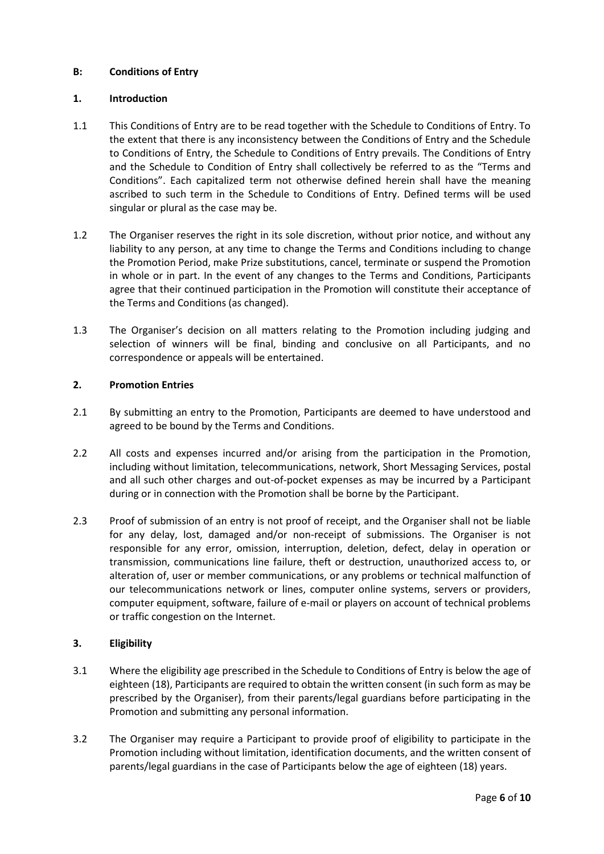#### **B: Conditions of Entry**

#### **1. Introduction**

- 1.1 This Conditions of Entry are to be read together with the Schedule to Conditions of Entry. To the extent that there is any inconsistency between the Conditions of Entry and the Schedule to Conditions of Entry, the Schedule to Conditions of Entry prevails. The Conditions of Entry and the Schedule to Condition of Entry shall collectively be referred to as the "Terms and Conditions". Each capitalized term not otherwise defined herein shall have the meaning ascribed to such term in the Schedule to Conditions of Entry. Defined terms will be used singular or plural as the case may be.
- 1.2 The Organiser reserves the right in its sole discretion, without prior notice, and without any liability to any person, at any time to change the Terms and Conditions including to change the Promotion Period, make Prize substitutions, cancel, terminate or suspend the Promotion in whole or in part. In the event of any changes to the Terms and Conditions, Participants agree that their continued participation in the Promotion will constitute their acceptance of the Terms and Conditions (as changed).
- 1.3 The Organiser's decision on all matters relating to the Promotion including judging and selection of winners will be final, binding and conclusive on all Participants, and no correspondence or appeals will be entertained.

#### **2. Promotion Entries**

- 2.1 By submitting an entry to the Promotion, Participants are deemed to have understood and agreed to be bound by the Terms and Conditions.
- 2.2 All costs and expenses incurred and/or arising from the participation in the Promotion, including without limitation, telecommunications, network, Short Messaging Services, postal and all such other charges and out-of-pocket expenses as may be incurred by a Participant during or in connection with the Promotion shall be borne by the Participant.
- 2.3 Proof of submission of an entry is not proof of receipt, and the Organiser shall not be liable for any delay, lost, damaged and/or non-receipt of submissions. The Organiser is not responsible for any error, omission, interruption, deletion, defect, delay in operation or transmission, communications line failure, theft or destruction, unauthorized access to, or alteration of, user or member communications, or any problems or technical malfunction of our telecommunications network or lines, computer online systems, servers or providers, computer equipment, software, failure of e-mail or players on account of technical problems or traffic congestion on the Internet.

#### **3. Eligibility**

- 3.1 Where the eligibility age prescribed in the Schedule to Conditions of Entry is below the age of eighteen (18), Participants are required to obtain the written consent (in such form as may be prescribed by the Organiser), from their parents/legal guardians before participating in the Promotion and submitting any personal information.
- 3.2 The Organiser may require a Participant to provide proof of eligibility to participate in the Promotion including without limitation, identification documents, and the written consent of parents/legal guardians in the case of Participants below the age of eighteen (18) years.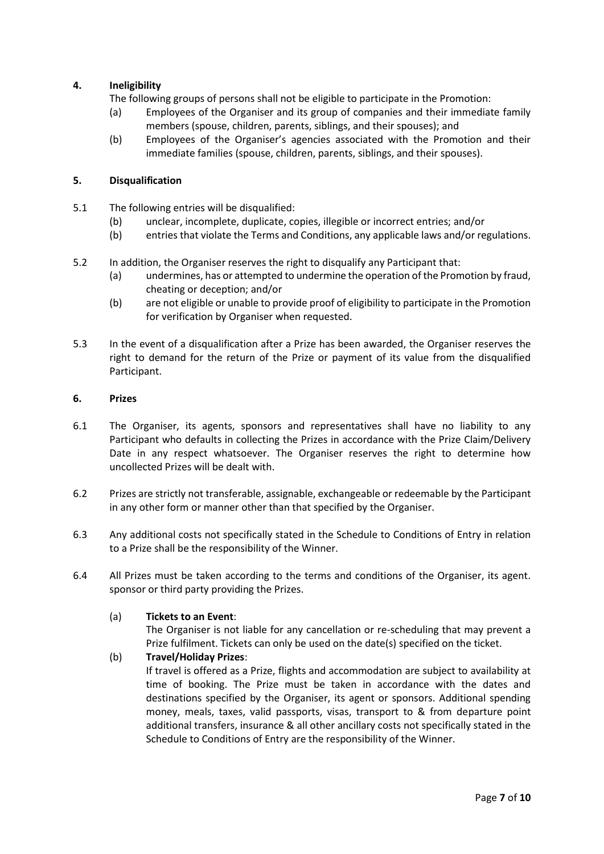# **4. Ineligibility**

The following groups of persons shall not be eligible to participate in the Promotion:

- (a) Employees of the Organiser and its group of companies and their immediate family members (spouse, children, parents, siblings, and their spouses); and
- (b) Employees of the Organiser's agencies associated with the Promotion and their immediate families (spouse, children, parents, siblings, and their spouses).

### **5. Disqualification**

- 5.1 The following entries will be disqualified:
	- (b) unclear, incomplete, duplicate, copies, illegible or incorrect entries; and/or
	- (b) entries that violate the Terms and Conditions, any applicable laws and/or regulations.
- 5.2 In addition, the Organiser reserves the right to disqualify any Participant that:
	- (a) undermines, has or attempted to undermine the operation of the Promotion by fraud, cheating or deception; and/or
	- (b) are not eligible or unable to provide proof of eligibility to participate in the Promotion for verification by Organiser when requested.
- 5.3 In the event of a disqualification after a Prize has been awarded, the Organiser reserves the right to demand for the return of the Prize or payment of its value from the disqualified Participant.

#### **6. Prizes**

- 6.1 The Organiser, its agents, sponsors and representatives shall have no liability to any Participant who defaults in collecting the Prizes in accordance with the Prize Claim/Delivery Date in any respect whatsoever. The Organiser reserves the right to determine how uncollected Prizes will be dealt with.
- 6.2 Prizes are strictly not transferable, assignable, exchangeable or redeemable by the Participant in any other form or manner other than that specified by the Organiser.
- 6.3 Any additional costs not specifically stated in the Schedule to Conditions of Entry in relation to a Prize shall be the responsibility of the Winner.
- 6.4 All Prizes must be taken according to the terms and conditions of the Organiser, its agent. sponsor or third party providing the Prizes.

#### (a) **Tickets to an Event**:

The Organiser is not liable for any cancellation or re-scheduling that may prevent a Prize fulfilment. Tickets can only be used on the date(s) specified on the ticket.

# (b) **Travel/Holiday Prizes**:

If travel is offered as a Prize, flights and accommodation are subject to availability at time of booking. The Prize must be taken in accordance with the dates and destinations specified by the Organiser, its agent or sponsors. Additional spending money, meals, taxes, valid passports, visas, transport to & from departure point additional transfers, insurance & all other ancillary costs not specifically stated in the Schedule to Conditions of Entry are the responsibility of the Winner.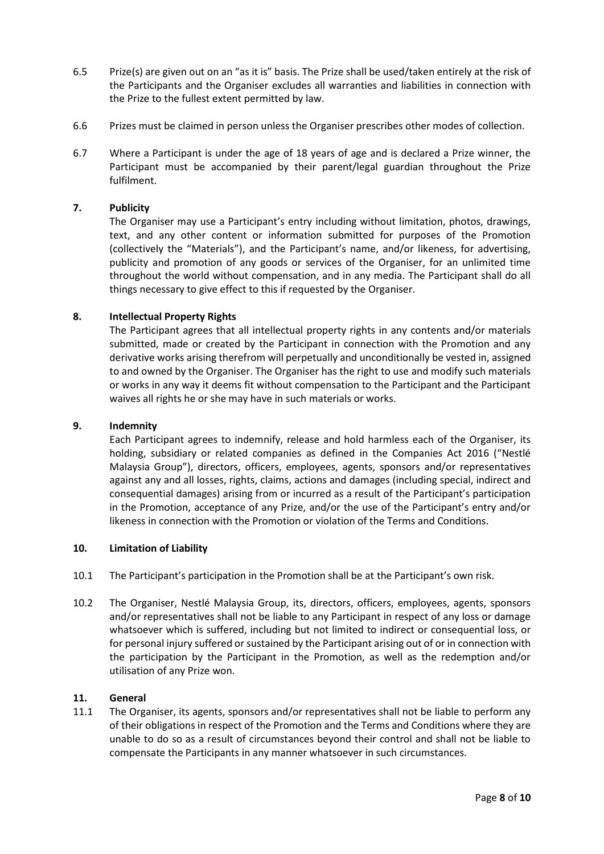- 6.5 Prize(s) are given out on an "as it is" basis. The Prize shall be used/taken entirely at the risk of the Participants and the Organiser excludes all warranties and liabilities in connection with the Prize to the fullest extent permitted by law.
- 6.6 Prizes must be claimed in person unless the Organiser prescribes other modes of collection.
- 6.7 Where a Participant is under the age of 18 years of age and is declared a Prize winner, the Participant must be accompanied by their parent/legal guardian throughout the Prize fulfilment.

#### **7. Publicity**

The Organiser may use a Participant's entry including without limitation, photos, drawings, text, and any other content or information submitted for purposes of the Promotion (collectively the "Materials"), and the Participant's name, and/or likeness, for advertising, publicity and promotion of any goods or services of the Organiser, for an unlimited time throughout the world without compensation, and in any media. The Participant shall do all things necessary to give effect to this if requested by the Organiser.

#### **8. Intellectual Property Rights**

The Participant agrees that all intellectual property rights in any contents and/or materials submitted, made or created by the Participant in connection with the Promotion and any derivative works arising therefrom will perpetually and unconditionally be vested in, assigned to and owned by the Organiser. The Organiser has the right to use and modify such materials or works in any way it deems fit without compensation to the Participant and the Participant waives all rights he or she may have in such materials or works.

#### **9. Indemnity**

Each Participant agrees to indemnify, release and hold harmless each of the Organiser, its holding, subsidiary or related companies as defined in the Companies Act 2016 ("Nestlé Malaysia Group"), directors, officers, employees, agents, sponsors and/or representatives against any and all losses, rights, claims, actions and damages (including special, indirect and consequential damages) arising from or incurred as a result of the Participant's participation in the Promotion, acceptance of any Prize, and/or the use of the Participant's entry and/or likeness in connection with the Promotion or violation of the Terms and Conditions.

#### **10. Limitation of Liability**

- 10.1 The Participant's participation in the Promotion shall be at the Participant's own risk.
- 10.2 The Organiser, Nestlé Malaysia Group, its, directors, officers, employees, agents, sponsors and/or representatives shall not be liable to any Participant in respect of any loss or damage whatsoever which is suffered, including but not limited to indirect or consequential loss, or for personal injury suffered or sustained by the Participant arising out of or in connection with the participation by the Participant in the Promotion, as well as the redemption and/or utilisation of any Prize won.

#### **11. General**

11.1 The Organiser, its agents, sponsors and/or representatives shall not be liable to perform any of their obligations in respect of the Promotion and the Terms and Conditions where they are unable to do so as a result of circumstances beyond their control and shall not be liable to compensate the Participants in any manner whatsoever in such circumstances.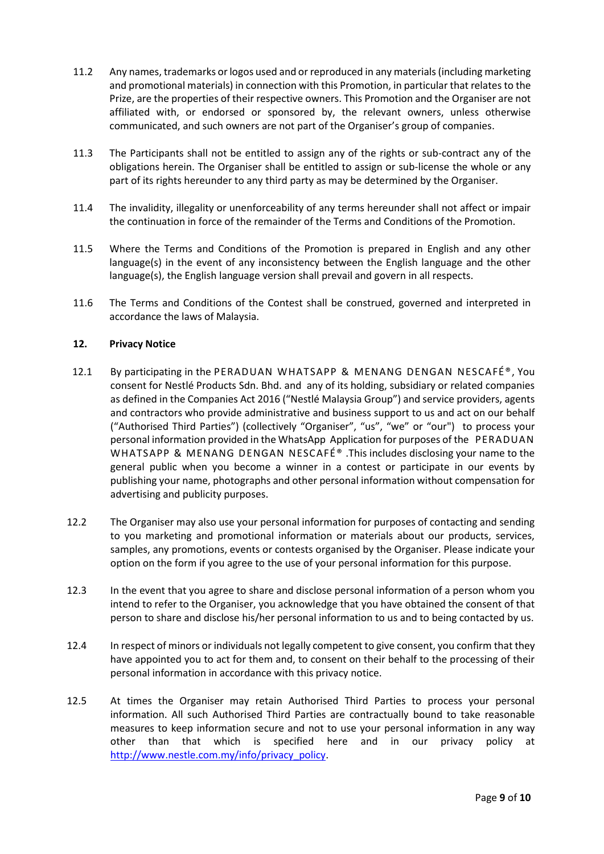- 11.2 Any names, trademarks or logos used and or reproduced in any materials (including marketing and promotional materials) in connection with this Promotion, in particular that relates to the Prize, are the properties of their respective owners. This Promotion and the Organiser are not affiliated with, or endorsed or sponsored by, the relevant owners, unless otherwise communicated, and such owners are not part of the Organiser's group of companies.
- 11.3 The Participants shall not be entitled to assign any of the rights or sub-contract any of the obligations herein. The Organiser shall be entitled to assign or sub-license the whole or any part of its rights hereunder to any third party as may be determined by the Organiser.
- 11.4 The invalidity, illegality or unenforceability of any terms hereunder shall not affect or impair the continuation in force of the remainder of the Terms and Conditions of the Promotion.
- 11.5 Where the Terms and Conditions of the Promotion is prepared in English and any other language(s) in the event of any inconsistency between the English language and the other language(s), the English language version shall prevail and govern in all respects.
- 11.6 The Terms and Conditions of the Contest shall be construed, governed and interpreted in accordance the laws of Malaysia.

#### **12. Privacy Notice**

- 12.1 By participating in the PERADUAN WHATSAPP & MENANG DENGAN NESCAFÉ®, You consent for Nestlé Products Sdn. Bhd. and any of its holding, subsidiary or related companies as defined in the Companies Act 2016 ("Nestlé Malaysia Group") and service providers, agents and contractors who provide administrative and business support to us and act on our behalf ("Authorised Third Parties") (collectively "Organiser", "us", "we" or "our") to process your personal information provided in the WhatsApp Application for purposes of the PERADUAN WHATSAPP & MENANG DENGAN NESCAFÉ® .This includes disclosing your name to the general public when you become a winner in a contest or participate in our events by publishing your name, photographs and other personal information without compensation for advertising and publicity purposes.
- 12.2 The Organiser may also use your personal information for purposes of contacting and sending to you marketing and promotional information or materials about our products, services, samples, any promotions, events or contests organised by the Organiser. Please indicate your option on the form if you agree to the use of your personal information for this purpose.
- 12.3 In the event that you agree to share and disclose personal information of a person whom you intend to refer to the Organiser, you acknowledge that you have obtained the consent of that person to share and disclose his/her personal information to us and to being contacted by us.
- 12.4 In respect of minors or individuals not legally competent to give consent, you confirm that they have appointed you to act for them and, to consent on their behalf to the processing of their personal information in accordance with this privacy notice.
- 12.5 At times the Organiser may retain Authorised Third Parties to process your personal information. All such Authorised Third Parties are contractually bound to take reasonable measures to keep information secure and not to use your personal information in any way other than that which is specified here and in our privacy policy at [http://www.nestle.com.my/info/privacy\\_policy.](http://www.nestle.com.my/info/privacy_policy)